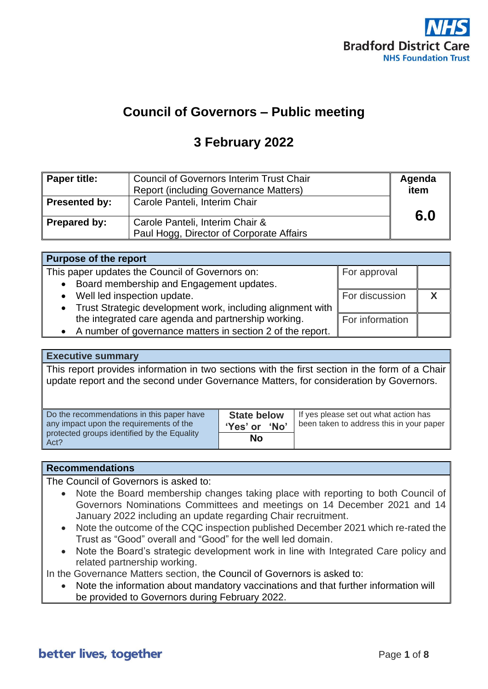

# **Council of Governors – Public meeting**

# **3 February 2022**

| Paper title:  | <b>Council of Governors Interim Trust Chair</b><br><b>Report (including Governance Matters)</b> | Agenda<br>item |
|---------------|-------------------------------------------------------------------------------------------------|----------------|
| Presented by: | Carole Panteli, Interim Chair                                                                   | 6.0            |
| Prepared by:  | Carole Panteli, Interim Chair &<br>Paul Hogg, Director of Corporate Affairs                     |                |

| Purpose of the report                                        |                 |  |
|--------------------------------------------------------------|-----------------|--|
| This paper updates the Council of Governors on:              | For approval    |  |
| Board membership and Engagement updates.<br>$\bullet$        |                 |  |
| Well led inspection update.<br>$\bullet$                     | For discussion  |  |
| • Trust Strategic development work, including alignment with |                 |  |
| the integrated care agenda and partnership working.          | For information |  |
| • A number of governance matters in section 2 of the report. |                 |  |

### **Executive summary**

This report provides information in two sections with the first section in the form of a Chair update report and the second under Governance Matters, for consideration by Governors.

| Do the recommendations in this paper have<br>any impact upon the requirements of the | <b>State below</b><br>'Yes' or 'No' | If yes please set out what action has<br>been taken to address this in your paper |
|--------------------------------------------------------------------------------------|-------------------------------------|-----------------------------------------------------------------------------------|
| protected groups identified by the Equality<br>Act?                                  | No                                  |                                                                                   |

### **Recommendations**

The Council of Governors is asked to:

- Note the Board membership changes taking place with reporting to both Council of Governors Nominations Committees and meetings on 14 December 2021 and 14 January 2022 including an update regarding Chair recruitment.
- Note the outcome of the CQC inspection published December 2021 which re-rated the Trust as "Good" overall and "Good" for the well led domain.
- Note the Board's strategic development work in line with Integrated Care policy and related partnership working.

In the Governance Matters section, the Council of Governors is asked to:

• Note the information about mandatory vaccinations and that further information will be provided to Governors during February 2022.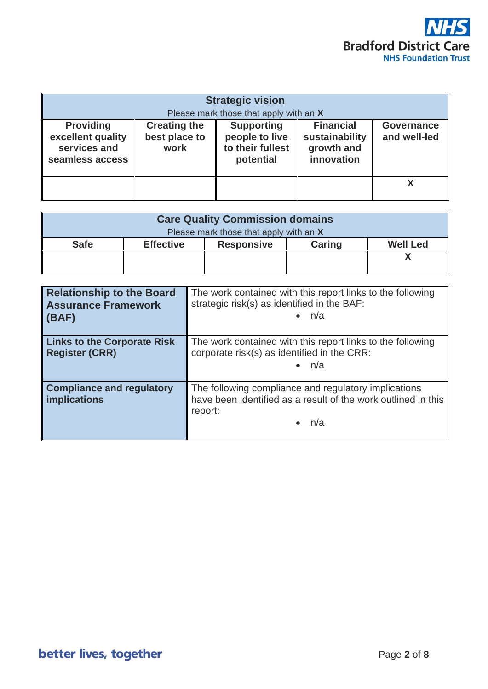

| <b>Strategic vision</b><br>Please mark those that apply with an X        |                                              |                                                                      |                                                                |                                   |
|--------------------------------------------------------------------------|----------------------------------------------|----------------------------------------------------------------------|----------------------------------------------------------------|-----------------------------------|
| <b>Providing</b><br>excellent quality<br>services and<br>seamless access | <b>Creating the</b><br>best place to<br>work | <b>Supporting</b><br>people to live<br>to their fullest<br>potential | <b>Financial</b><br>sustainability<br>growth and<br>innovation | <b>Governance</b><br>and well-led |
|                                                                          |                                              |                                                                      |                                                                |                                   |

| <b>Care Quality Commission domains</b> |                  |                   |        |                 |
|----------------------------------------|------------------|-------------------|--------|-----------------|
| Please mark those that apply with an X |                  |                   |        |                 |
| <b>Safe</b>                            | <b>Effective</b> | <b>Responsive</b> | Caring | <b>Well Led</b> |
|                                        |                  |                   |        |                 |
|                                        |                  |                   |        |                 |

| <b>Relationship to the Board</b><br><b>Assurance Framework</b><br>(BAF) | The work contained with this report links to the following<br>strategic risk(s) as identified in the BAF:<br>$\bullet$ n/a              |
|-------------------------------------------------------------------------|-----------------------------------------------------------------------------------------------------------------------------------------|
| <b>Links to the Corporate Risk</b><br><b>Register (CRR)</b>             | The work contained with this report links to the following<br>corporate risk(s) as identified in the CRR:<br>n/a                        |
| <b>Compliance and regulatory</b><br><b>implications</b>                 | The following compliance and regulatory implications<br>have been identified as a result of the work outlined in this<br>report:<br>n/a |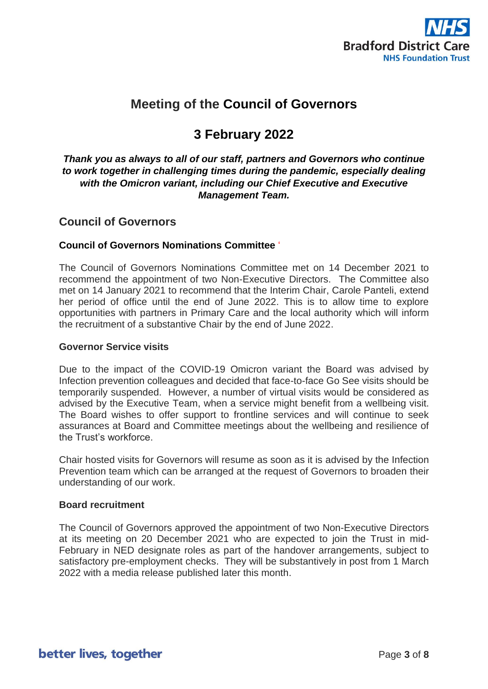

# **Meeting of the Council of Governors**

# **3 February 2022**

### *Thank you as always to all of our staff, partners and Governors who continue to work together in challenging times during the pandemic, especially dealing with the Omicron variant, including our Chief Executive and Executive Management Team.*

## **Council of Governors**

### **Council of Governors Nominations Committee** '

The Council of Governors Nominations Committee met on 14 December 2021 to recommend the appointment of two Non-Executive Directors. The Committee also met on 14 January 2021 to recommend that the Interim Chair, Carole Panteli, extend her period of office until the end of June 2022. This is to allow time to explore opportunities with partners in Primary Care and the local authority which will inform the recruitment of a substantive Chair by the end of June 2022.

### **Governor Service visits**

Due to the impact of the COVID-19 Omicron variant the Board was advised by Infection prevention colleagues and decided that face-to-face Go See visits should be temporarily suspended. However, a number of virtual visits would be considered as advised by the Executive Team, when a service might benefit from a wellbeing visit. The Board wishes to offer support to frontline services and will continue to seek assurances at Board and Committee meetings about the wellbeing and resilience of the Trust's workforce.

Chair hosted visits for Governors will resume as soon as it is advised by the Infection Prevention team which can be arranged at the request of Governors to broaden their understanding of our work.

### **Board recruitment**

The Council of Governors approved the appointment of two Non-Executive Directors at its meeting on 20 December 2021 who are expected to join the Trust in mid-February in NED designate roles as part of the handover arrangements, subject to satisfactory pre-employment checks. They will be substantively in post from 1 March 2022 with a media release published later this month.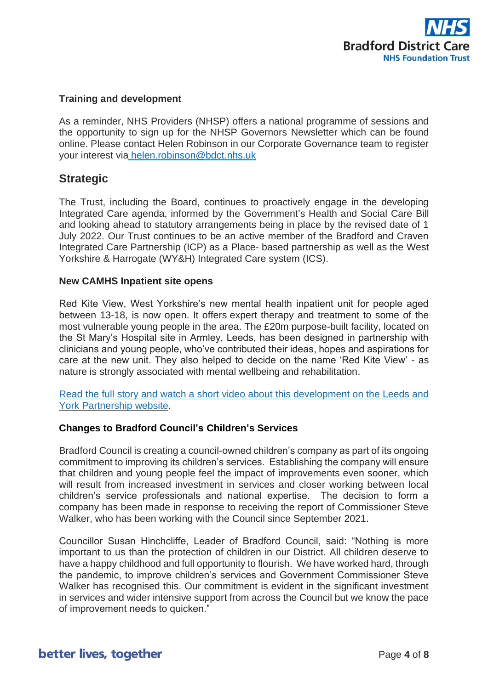

### **Training and development**

As a reminder, NHS Providers (NHSP) offers a national programme of sessions and the opportunity to sign up for the NHSP Governors Newsletter which can be found online. Please contact Helen Robinson in our Corporate Governance team to register your interest via [helen.robinson@bdct.nhs.uk](mailto:%20helen.robinson@bdct.nhs.uk)

## **Strategic**

The Trust, including the Board, continues to proactively engage in the developing Integrated Care agenda, informed by the Government's Health and Social Care Bill and looking ahead to statutory arrangements being in place by the revised date of 1 July 2022. Our Trust continues to be an active member of the Bradford and Craven Integrated Care Partnership (ICP) as a Place- based partnership as well as the West Yorkshire & Harrogate (WY&H) Integrated Care system (ICS).

### **New CAMHS Inpatient site opens**

Red Kite View, West Yorkshire's new mental health inpatient unit for people aged between 13-18, is now open. It offers expert therapy and treatment to some of the most vulnerable young people in the area. The £20m purpose-built facility, located on the St Mary's Hospital site in Armley, Leeds, has been designed in partnership with clinicians and young people, who've contributed their ideas, hopes and aspirations for care at the new unit. They also helped to decide on the name 'Red Kite View' - as nature is strongly associated with mental wellbeing and rehabilitation.

[Read the full story and watch a short video about this development on the Leeds and](https://www.leedsandyorkpft.nhs.uk/news/articles/red-kite-view-opens-doors/)  [York Partnership](https://www.leedsandyorkpft.nhs.uk/news/articles/red-kite-view-opens-doors/) website.

### **Changes to Bradford Council's Children's Services**

Bradford Council is creating a council-owned children's company as part of its ongoing commitment to improving its children's services. Establishing the company will ensure that children and young people feel the impact of improvements even sooner, which will result from increased investment in services and closer working between local children's service professionals and national expertise. The decision to form a company has been made in response to receiving the report of Commissioner Steve Walker, who has been working with the Council since September 2021.

Councillor Susan Hinchcliffe, Leader of Bradford Council, said: "Nothing is more important to us than the protection of children in our District. All children deserve to have a happy childhood and full opportunity to flourish. We have worked hard, through the pandemic, to improve children's services and Government Commissioner Steve Walker has recognised this. Our commitment is evident in the significant investment in services and wider intensive support from across the Council but we know the pace of improvement needs to quicken."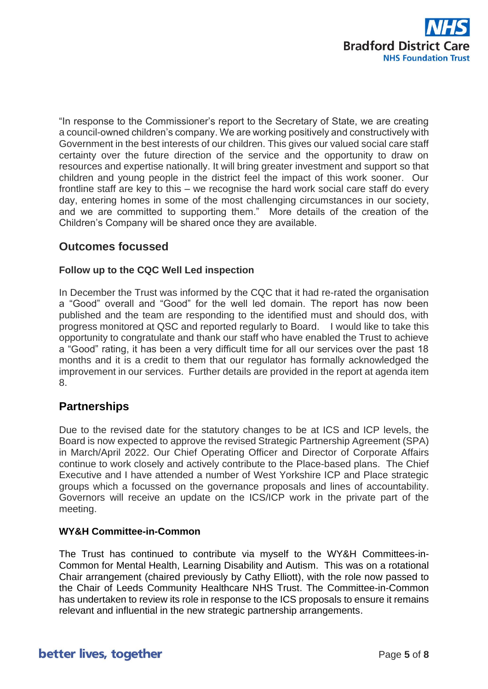

"In response to the Commissioner's report to the Secretary of State, we are creating a council-owned children's company. We are working positively and constructively with Government in the best interests of our children. This gives our valued social care staff certainty over the future direction of the service and the opportunity to draw on resources and expertise nationally. It will bring greater investment and support so that children and young people in the district feel the impact of this work sooner. Our frontline staff are key to this – we recognise the hard work social care staff do every day, entering homes in some of the most challenging circumstances in our society, and we are committed to supporting them." More details of the creation of the Children's Company will be shared once they are available.

## **Outcomes focussed**

### **Follow up to the CQC Well Led inspection**

In December the Trust was informed by the CQC that it had re-rated the organisation a "Good" overall and "Good" for the well led domain. The report has now been published and the team are responding to the identified must and should dos, with progress monitored at QSC and reported regularly to Board. I would like to take this opportunity to congratulate and thank our staff who have enabled the Trust to achieve a "Good" rating, it has been a very difficult time for all our services over the past 18 months and it is a credit to them that our regulator has formally acknowledged the improvement in our services. Further details are provided in the report at agenda item 8.

### **Partnerships**

Due to the revised date for the statutory changes to be at ICS and ICP levels, the Board is now expected to approve the revised Strategic Partnership Agreement (SPA) in March/April 2022. Our Chief Operating Officer and Director of Corporate Affairs continue to work closely and actively contribute to the Place-based plans. The Chief Executive and I have attended a number of West Yorkshire ICP and Place strategic groups which a focussed on the governance proposals and lines of accountability. Governors will receive an update on the ICS/ICP work in the private part of the meeting.

### **WY&H Committee-in-Common**

The Trust has continued to contribute via myself to the WY&H Committees-in-Common for Mental Health, Learning Disability and Autism. This was on a rotational Chair arrangement (chaired previously by Cathy Elliott), with the role now passed to the Chair of Leeds Community Healthcare NHS Trust. The Committee-in-Common has undertaken to review its role in response to the ICS proposals to ensure it remains relevant and influential in the new strategic partnership arrangements.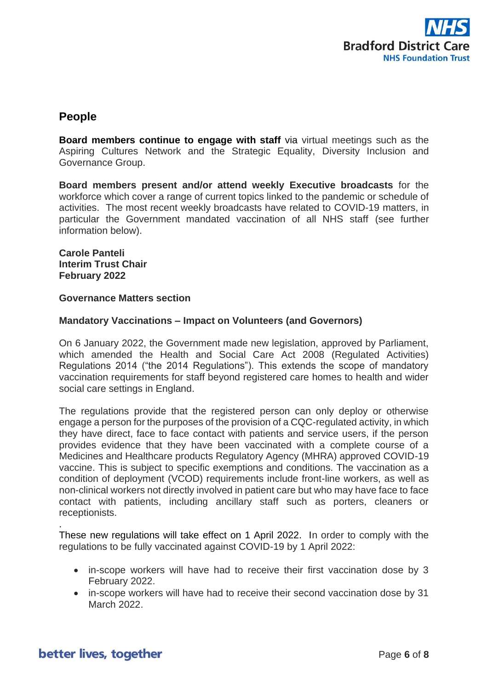

## **People**

**Board members continue to engage with staff** via virtual meetings such as the Aspiring Cultures Network and the Strategic Equality, Diversity Inclusion and Governance Group.

**Board members present and/or attend weekly Executive broadcasts** for the workforce which cover a range of current topics linked to the pandemic or schedule of activities. The most recent weekly broadcasts have related to COVID-19 matters, in particular the Government mandated vaccination of all NHS staff (see further information below).

**Carole Panteli Interim Trust Chair February 2022**

### **Governance Matters section**

### **Mandatory Vaccinations – Impact on Volunteers (and Governors)**

On 6 January 2022, the Government made new legislation, approved by Parliament, which amended the Health and Social Care Act 2008 (Regulated Activities) Regulations 2014 ("the 2014 Regulations"). This extends the scope of mandatory vaccination requirements for staff beyond registered care homes to health and wider social care settings in England.

The regulations provide that the registered person can only deploy or otherwise engage a person for the purposes of the provision of a CQC-regulated activity, in which they have direct, face to face contact with patients and service users, if the person provides evidence that they have been vaccinated with a complete course of a Medicines and Healthcare products Regulatory Agency (MHRA) approved COVID-19 vaccine. This is subject to specific exemptions and conditions. The vaccination as a condition of deployment (VCOD) requirements include front-line workers, as well as non-clinical workers not directly involved in patient care but who may have face to face contact with patients, including ancillary staff such as porters, cleaners or receptionists.

These new regulations will take effect on 1 April 2022. In order to comply with the regulations to be fully vaccinated against COVID-19 by 1 April 2022:

- in-scope workers will have had to receive their first vaccination dose by 3 February 2022.
- in-scope workers will have had to receive their second vaccination dose by 31 March 2022.

.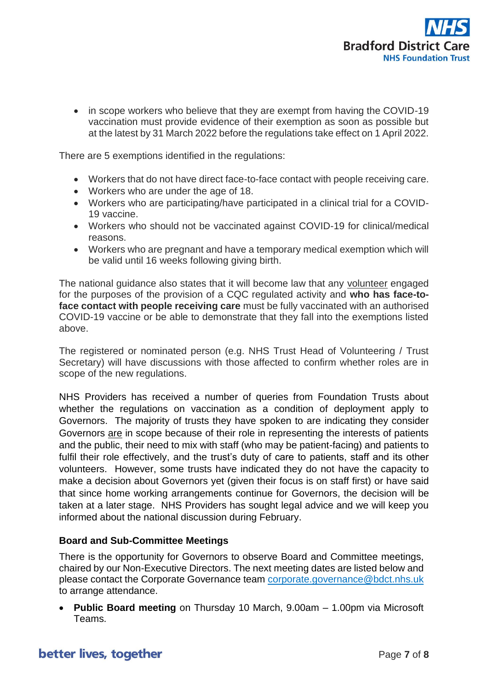

• in scope workers who believe that they are exempt from having the COVID-19 vaccination must provide evidence of their exemption as soon as possible but at the latest by 31 March 2022 before the regulations take effect on 1 April 2022.

There are 5 exemptions identified in the regulations:

- Workers that do not have direct face-to-face contact with people receiving care.
- Workers who are under the age of 18.
- Workers who are participating/have participated in a clinical trial for a COVID-19 vaccine.
- Workers who should not be vaccinated against COVID-19 for clinical/medical reasons.
- Workers who are pregnant and have a temporary medical exemption which will be valid until 16 weeks following giving birth.

The national guidance also states that it will become law that any volunteer engaged for the purposes of the provision of a CQC regulated activity and **who has face-toface contact with people receiving care** must be fully vaccinated with an authorised COVID-19 vaccine or be able to demonstrate that they fall into the exemptions listed above.

The registered or nominated person (e.g. NHS Trust Head of Volunteering / Trust Secretary) will have discussions with those affected to confirm whether roles are in scope of the new regulations.

NHS Providers has received a number of queries from Foundation Trusts about whether the regulations on vaccination as a condition of deployment apply to Governors. The majority of trusts they have spoken to are indicating they consider Governors are in scope because of their role in representing the interests of patients and the public, their need to mix with staff (who may be patient-facing) and patients to fulfil their role effectively, and the trust's duty of care to patients, staff and its other volunteers. However, some trusts have indicated they do not have the capacity to make a decision about Governors yet (given their focus is on staff first) or have said that since home working arrangements continue for Governors, the decision will be taken at a later stage. NHS Providers has sought legal advice and we will keep you informed about the national discussion during February.

### **Board and Sub-Committee Meetings**

There is the opportunity for Governors to observe Board and Committee meetings, chaired by our Non-Executive Directors. The next meeting dates are listed below and please contact the Corporate Governance team [corporate.governance@bdct.nhs.uk](mailto:corporate.governance@bdct.nhs.uk) to arrange attendance.

• **Public Board meeting** on Thursday 10 March, 9.00am – 1.00pm via Microsoft Teams.